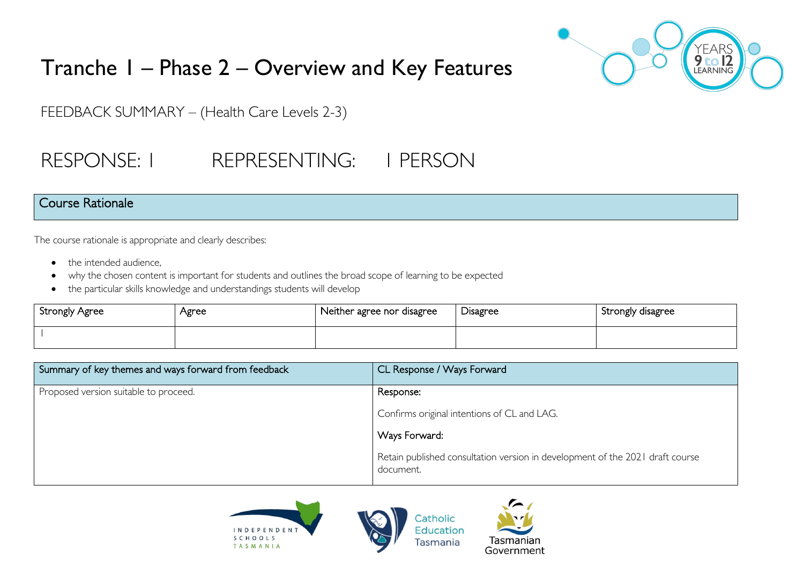

# Tranche 1 – Phase 2 – Overview and Key Features

FEEDBACK SUMMARY – (Health Care Levels 2-3)

# RESPONSE: I REPRESENTING: I PERSON

### Course Rationale

The course rationale is appropriate and clearly describes:

- the intended audience.
- why the chosen content is important for students and outlines the broad scope of learning to be expected
- the particular skills knowledge and understandings students will develop

| Strongly Agree | Agree | Neither agree nor disagree | Disagree | Strongly disagree |
|----------------|-------|----------------------------|----------|-------------------|
|                |       |                            |          |                   |

| Summary of key themes and ways forward from feedback | CL Response / Ways Forward                                                                 |
|------------------------------------------------------|--------------------------------------------------------------------------------------------|
| Proposed version suitable to proceed.                | Response:                                                                                  |
|                                                      | Confirms original intentions of CL and LAG.                                                |
|                                                      | Ways Forward:                                                                              |
|                                                      | Retain published consultation version in development of the 2021 draft course<br>document. |





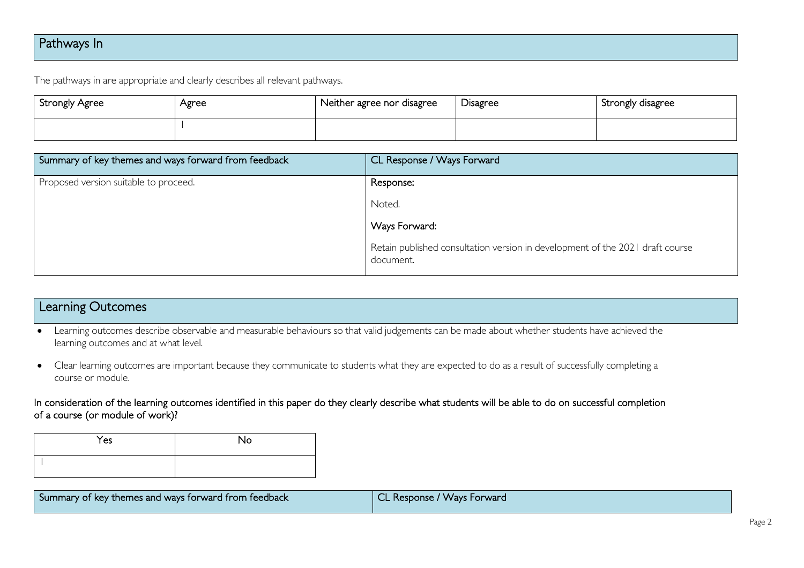## Pathways In

The pathways in are appropriate and clearly describes all relevant pathways.

| Strongly Agree | Agree | Neither agree nor disagree | <b>Disagree</b> | Strongly disagree |
|----------------|-------|----------------------------|-----------------|-------------------|
|                |       |                            |                 |                   |

| Summary of key themes and ways forward from feedback | CL Response / Ways Forward                                                                 |
|------------------------------------------------------|--------------------------------------------------------------------------------------------|
| Proposed version suitable to proceed.                | Response:                                                                                  |
|                                                      | Noted.                                                                                     |
|                                                      | Ways Forward.                                                                              |
|                                                      | Retain published consultation version in development of the 2021 draft course<br>document. |

### Learning Outcomes

- Learning outcomes describe observable and measurable behaviours so that valid judgements can be made about whether students have achieved the learning outcomes and at what level.
- Clear learning outcomes are important because they communicate to students what they are expected to do as a result of successfully completing a course or module.

In consideration of the learning outcomes identified in this paper do they clearly describe what students will be able to do on successful completion of a course (or module of work)?

| Yes | No |
|-----|----|
|     |    |

| I Summary of key themes and ways forward from feedback | CL Response / Ways Forward |
|--------------------------------------------------------|----------------------------|
|                                                        |                            |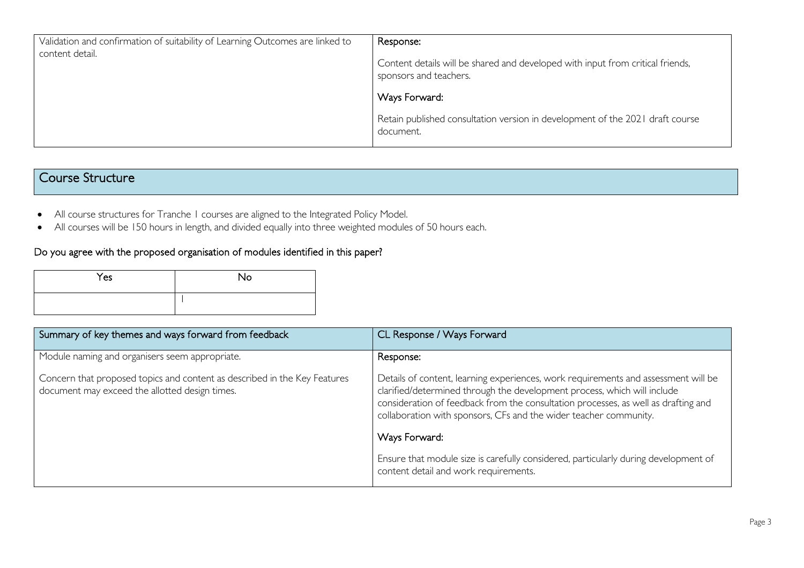| Validation and confirmation of suitability of Learning Outcomes are linked to<br>content detail. | Response:<br>Content details will be shared and developed with input from critical friends,<br>sponsors and teachers. |
|--------------------------------------------------------------------------------------------------|-----------------------------------------------------------------------------------------------------------------------|
|                                                                                                  | Ways Forward:                                                                                                         |
|                                                                                                  | Retain published consultation version in development of the 2021 draft course<br>document.                            |

## Course Structure

- All course structures for Tranche 1 courses are aligned to the Integrated Policy Model.
- All courses will be 150 hours in length, and divided equally into three weighted modules of 50 hours each.

### Do you agree with the proposed organisation of modules identified in this paper?

| Yes | <b>No</b> |
|-----|-----------|
|     |           |

| Summary of key themes and ways forward from feedback                                                                        | CL Response / Ways Forward                                                                                                                                                                                                                                                                                                |
|-----------------------------------------------------------------------------------------------------------------------------|---------------------------------------------------------------------------------------------------------------------------------------------------------------------------------------------------------------------------------------------------------------------------------------------------------------------------|
| Module naming and organisers seem appropriate.                                                                              | Response:                                                                                                                                                                                                                                                                                                                 |
| Concern that proposed topics and content as described in the Key Features<br>document may exceed the allotted design times. | Details of content, learning experiences, work requirements and assessment will be<br>clarified/determined through the development process, which will include<br>consideration of feedback from the consultation processes, as well as drafting and<br>collaboration with sponsors, CFs and the wider teacher community. |
|                                                                                                                             | Ways Forward:                                                                                                                                                                                                                                                                                                             |
|                                                                                                                             | Ensure that module size is carefully considered, particularly during development of<br>content detail and work requirements.                                                                                                                                                                                              |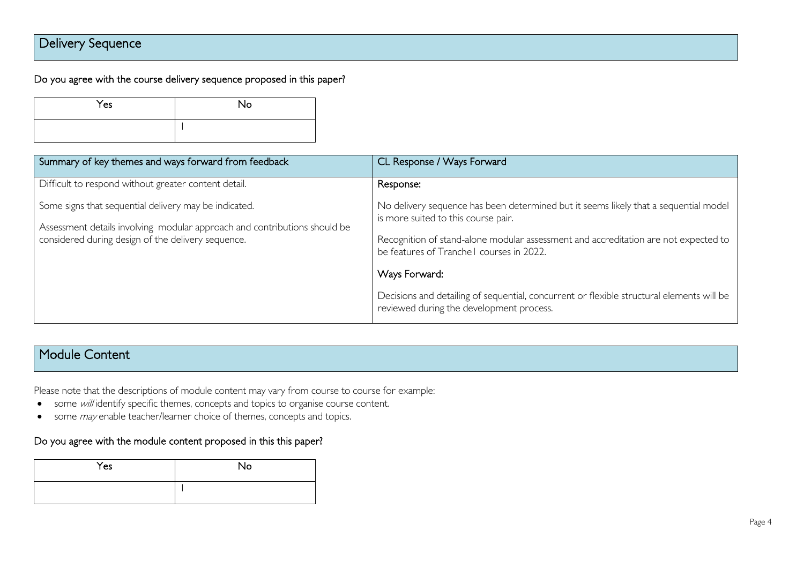## Delivery Sequence

Do you agree with the course delivery sequence proposed in this paper?

| Yes | <b>No</b> |
|-----|-----------|
|     |           |

| Summary of key themes and ways forward from feedback                                                                                                                                     | CL Response / Ways Forward                                                                                                            |
|------------------------------------------------------------------------------------------------------------------------------------------------------------------------------------------|---------------------------------------------------------------------------------------------------------------------------------------|
| Difficult to respond without greater content detail.                                                                                                                                     | Response:                                                                                                                             |
| Some signs that sequential delivery may be indicated.<br>Assessment details involving modular approach and contributions should be<br>considered during design of the delivery sequence. | No delivery sequence has been determined but it seems likely that a sequential model<br>is more suited to this course pair.           |
|                                                                                                                                                                                          | Recognition of stand-alone modular assessment and accreditation are not expected to<br>be features of Tranche I courses in 2022.      |
|                                                                                                                                                                                          | Ways Forward:                                                                                                                         |
|                                                                                                                                                                                          | Decisions and detailing of sequential, concurrent or flexible structural elements will be<br>reviewed during the development process. |

## Module Content

Please note that the descriptions of module content may vary from course to course for example:

- some will identify specific themes, concepts and topics to organise course content.
- some *may* enable teacher/learner choice of themes, concepts and topics.

#### Do you agree with the module content proposed in this this paper?

| Yes | No |
|-----|----|
|     |    |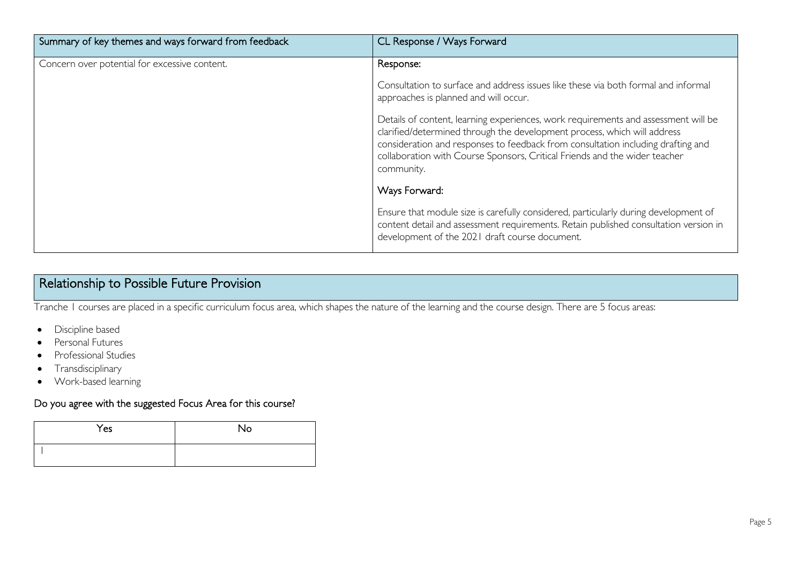| Summary of key themes and ways forward from feedback | CL Response / Ways Forward                                                                                                                                                                                                                                                                                                                     |
|------------------------------------------------------|------------------------------------------------------------------------------------------------------------------------------------------------------------------------------------------------------------------------------------------------------------------------------------------------------------------------------------------------|
| Concern over potential for excessive content.        | Response:                                                                                                                                                                                                                                                                                                                                      |
|                                                      | Consultation to surface and address issues like these via both formal and informal<br>approaches is planned and will occur.                                                                                                                                                                                                                    |
|                                                      | Details of content, learning experiences, work requirements and assessment will be<br>clarified/determined through the development process, which will address<br>consideration and responses to feedback from consultation including drafting and<br>collaboration with Course Sponsors, Critical Friends and the wider teacher<br>community. |
|                                                      | Ways Forward:                                                                                                                                                                                                                                                                                                                                  |
|                                                      | Ensure that module size is carefully considered, particularly during development of<br>content detail and assessment requirements. Retain published consultation version in<br>development of the 2021 draft course document.                                                                                                                  |

## Relationship to Possible Future Provision

Tranche 1 courses are placed in a specific curriculum focus area, which shapes the nature of the learning and the course design. There are 5 focus areas:

- Discipline based
- Personal Futures
- Professional Studies
- Transdisciplinary
- Work-based learning

#### Do you agree with the suggested Focus Area for this course?

| Yes | No |
|-----|----|
|     |    |